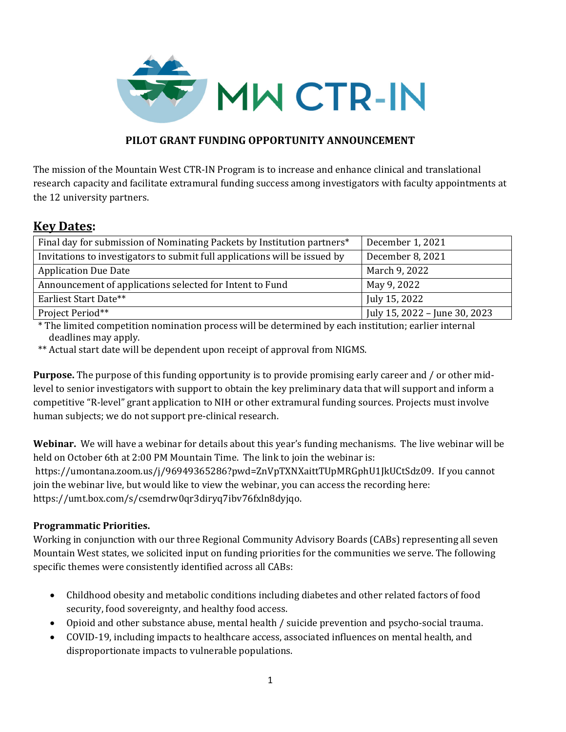

## **PILOT GRANT FUNDING OPPORTUNITY ANNOUNCEMENT**

The mission of the Mountain West CTR-IN Program is to increase and enhance clinical and translational research capacity and facilitate extramural funding success among investigators with faculty appointments at the 12 university partners.

# **Key Dates:**

| Final day for submission of Nominating Packets by Institution partners*    | December 1, 2021              |
|----------------------------------------------------------------------------|-------------------------------|
| Invitations to investigators to submit full applications will be issued by | December 8, 2021              |
| <b>Application Due Date</b>                                                | March 9, 2022                 |
| Announcement of applications selected for Intent to Fund                   | May 9, 2022                   |
| Earliest Start Date**                                                      | July 15, 2022                 |
| Project Period**                                                           | July 15, 2022 - June 30, 2023 |

\* The limited competition nomination process will be determined by each institution; earlier internal deadlines may apply.

\*\* Actual start date will be dependent upon receipt of approval from NIGMS.

**Purpose.** The purpose of this funding opportunity is to provide promising early career and / or other midlevel to senior investigators with support to obtain the key preliminary data that will support and inform a competitive "R-level" grant application to NIH or other extramural funding sources. Projects must involve human subjects; we do not support pre-clinical research.

**Webinar.** We will have a webinar for details about this year's funding mechanisms. The live webinar will be held on October 6th at 2:00 PM Mountain Time. The link to join the webinar is: https://umontana.zoom.us/j/96949365286?pwd=ZnVpTXNXaittTUpMRGphU1JkUCtSdz09. If you cannot join the webinar live, but would like to view the webinar, you can access the recording here: https://umt.box.com/s/csemdrw0qr3diryq7ibv76fxln8dyjqo.

### **Programmatic Priorities.**

Working in conjunction with our three Regional Community Advisory Boards (CABs) representing all seven Mountain West states, we solicited input on funding priorities for the communities we serve. The following specific themes were consistently identified across all CABs:

- Childhood obesity and metabolic conditions including diabetes and other related factors of food security, food sovereignty, and healthy food access.
- Opioid and other substance abuse, mental health / suicide prevention and psycho-social trauma.
- COVID-19, including impacts to healthcare access, associated influences on mental health, and disproportionate impacts to vulnerable populations.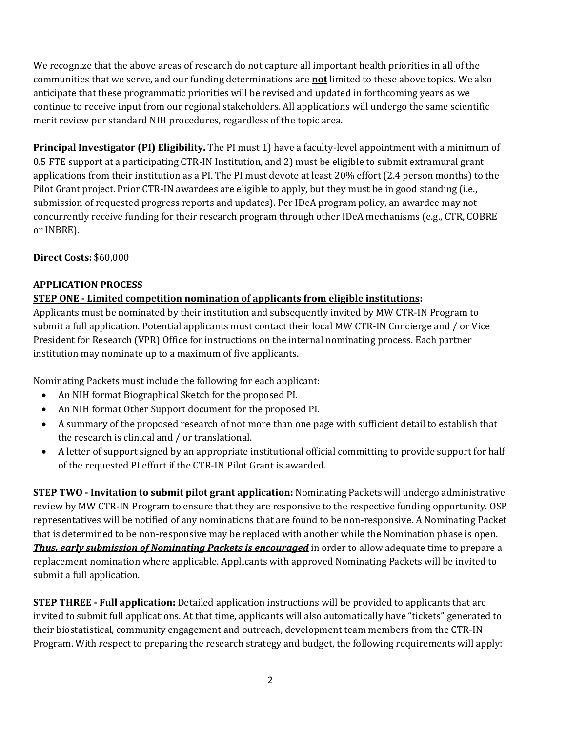We recognize that the above areas of research do not capture all important health priorities in all of the communities that we serve, and our funding determinations are **not** limited to these above topics. We also anticipate that these programmatic priorities will be revised and updated in forthcoming years as we continue to receive input from our regional stakeholders. All applications will undergo the same scientific merit review per standard NIH procedures, regardless of the topic area.

**Principal Investigator (PI) Eligibility.** The PI must 1) have a faculty-level appointment with a minimum of 0.5 FTE support at a participating CTR-IN Institution, and 2) must be eligible to submit extramural grant applications from their institution as a PI. The PI must devote at least 20% effort (2.4 person months) to the Pilot Grant project. Prior CTR-IN awardees are eligible to apply, but they must be in good standing (i.e., submission of requested progress reports and updates). Per IDeA program policy, an awardee may not concurrently receive funding for their research program through other IDeA mechanisms (e.g., CTR, COBRE or INBRE).

**Direct Costs:** \$60,000

# **APPLICATION PROCESS**

### **STEP ONE** – Limited competition nomination of applicants from eligible institutions:

Applicants must be nominated by their institution and subsequently invited by MW CTR-IN Program to submit a full application. Potential applicants must contact their local MW CTR-IN Concierge and / or Vice President for Research (VPR) Office for instructions on the internal nominating process. Each partner institution may nominate up to a maximum of five applicants.

Nominating Packets must include the following for each applicant:

- An NIH format Biographical Sketch for the proposed PI.
- An NIH format Other Support document for the proposed PI.
- A summary of the proposed research of not more than one page with sufficient detail to establish that the research is clinical and / or translational.
- A letter of support signed by an appropriate institutional official committing to provide support for half of the requested PI effort if the CTR-IN Pilot Grant is awarded.

**STEP TWO** - Invitation to submit pilot grant application: Nominating Packets will undergo administrative review by MW CTR-IN Program to ensure that they are responsive to the respective funding opportunity. OSP representatives will be notified of any nominations that are found to be non-responsive. A Nominating Packet that is determined to be non-responsive may be replaced with another while the Nomination phase is open. *Thus, early submission of Nominating Packets is encouraged* in order to allow adequate time to prepare a replacement nomination where applicable. Applicants with approved Nominating Packets will be invited to submit a full application.

**STEP THREE** – **Full application:** Detailed application instructions will be provided to applicants that are invited to submit full applications. At that time, applicants will also automatically have "tickets" generated to their biostatistical, community engagement and outreach, development team members from the CTR-IN Program. With respect to preparing the research strategy and budget, the following requirements will apply: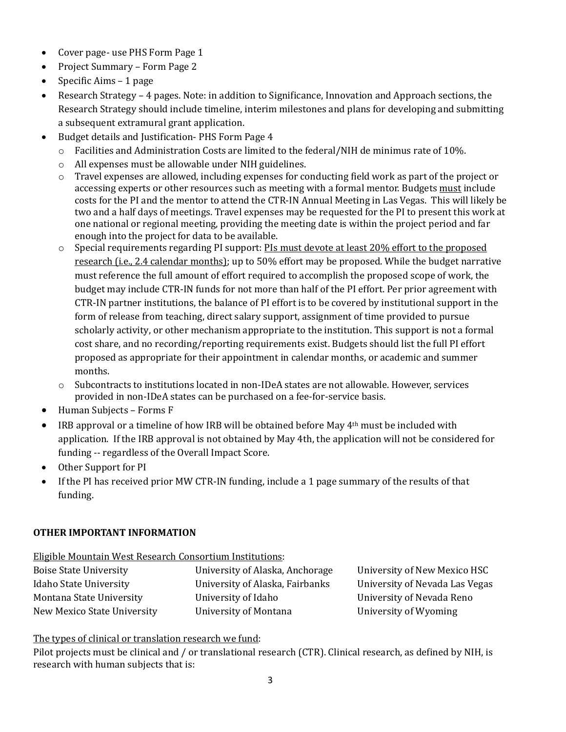- Cover page- use PHS Form Page 1
- Project Summary Form Page 2
- Specific Aims 1 page
- Research Strategy 4 pages. Note: in addition to Significance, Innovation and Approach sections, the Research Strategy should include timeline, interim milestones and plans for developing and submitting a subsequent extramural grant application.
- Budget details and Justification- PHS Form Page 4
	- $\circ$  Facilities and Administration Costs are limited to the federal/NIH de minimus rate of 10%.
	- o All expenses must be allowable under NIH guidelines.
	- $\circ$  Travel expenses are allowed, including expenses for conducting field work as part of the project or accessing experts or other resources such as meeting with a formal mentor. Budgets must include costs for the PI and the mentor to attend the CTR-IN Annual Meeting in Las Vegas. This will likely be two and a half days of meetings. Travel expenses may be requested for the PI to present this work at one national or regional meeting, providing the meeting date is within the project period and far enough into the project for data to be available.
	- o Special requirements regarding PI support: PIs must devote at least 20% effort to the proposed research (i.e., 2.4 calendar months); up to 50% effort may be proposed. While the budget narrative must reference the full amount of effort required to accomplish the proposed scope of work, the budget may include CTR-IN funds for not more than half of the PI effort. Per prior agreement with CTR-IN partner institutions, the balance of PI effort is to be covered by institutional support in the form of release from teaching, direct salary support, assignment of time provided to pursue scholarly activity, or other mechanism appropriate to the institution. This support is not a formal cost share, and no recording/reporting requirements exist. Budgets should list the full PI effort proposed as appropriate for their appointment in calendar months, or academic and summer months.
	- o Subcontracts to institutions located in non-IDeA states are not allowable. However, services provided in non-IDeA states can be purchased on a fee-for-service basis.
- Human Subjects Forms F
- **•** IRB approval or a timeline of how IRB will be obtained before May  $4<sup>th</sup>$  must be included with application. If the IRB approval is not obtained by May 4th, the application will not be considered for funding -- regardless of the Overall Impact Score.
- Other Support for PI
- If the PI has received prior MW CTR-IN funding, include a 1 page summary of the results of that funding.

#### **OTHER IMPORTANT INFORMATION**

Eligible Mountain West Research Consortium Institutions:

| <b>Boise State University</b> | University of Alaska, Anchorage |
|-------------------------------|---------------------------------|
| <b>Idaho State University</b> | University of Alaska, Fairbanks |
| Montana State University      | University of Idaho             |
| New Mexico State University   | University of Montana           |

University of New Mexico HSC University of Nevada Las Vegas University of Nevada Reno University of Wyoming

The types of clinical or translation research we fund:

Pilot projects must be clinical and / or translational research (CTR). Clinical research, as defined by NIH, is research with human subjects that is: